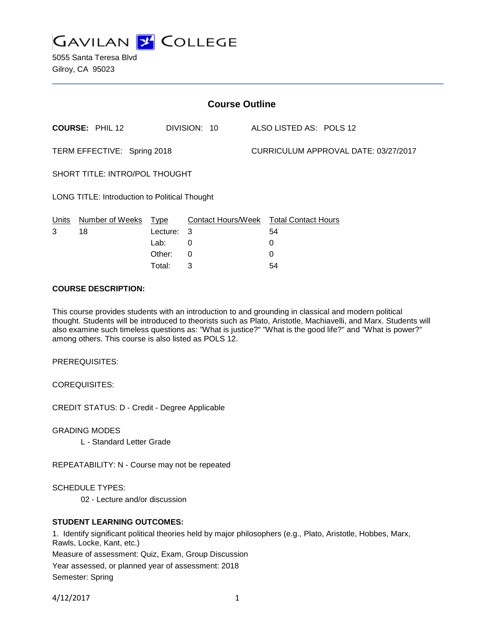

5055 Santa Teresa Blvd Gilroy, CA 95023

| <b>Course Outline</b>                                |                        |          |                                        |  |                                      |  |  |
|------------------------------------------------------|------------------------|----------|----------------------------------------|--|--------------------------------------|--|--|
|                                                      | <b>COURSE: PHIL 12</b> |          | DIVISION: 10                           |  | ALSO LISTED AS: POLS 12              |  |  |
| TERM EFFECTIVE: Spring 2018                          |                        |          |                                        |  | CURRICULUM APPROVAL DATE: 03/27/2017 |  |  |
| SHORT TITLE: INTRO/POL THOUGHT                       |                        |          |                                        |  |                                      |  |  |
| <b>LONG TITLE: Introduction to Political Thought</b> |                        |          |                                        |  |                                      |  |  |
|                                                      | Units Number of Weeks  | Type     | Contact Hours/Week Total Contact Hours |  |                                      |  |  |
| 3                                                    | 18                     | Lecture: | 3                                      |  | 54                                   |  |  |
|                                                      |                        | Lab:     | 0                                      |  | 0                                    |  |  |
|                                                      |                        | Other:   | 0                                      |  | 0                                    |  |  |

Total: 3 54

## **COURSE DESCRIPTION:**

This course provides students with an introduction to and grounding in classical and modern political thought. Students will be introduced to theorists such as Plato, Aristotle, Machiavelli, and Marx. Students will also examine such timeless questions as: "What is justice?" "What is the good life?" and "What is power?" among others. This course is also listed as POLS 12.

PREREQUISITES:

COREQUISITES:

CREDIT STATUS: D - Credit - Degree Applicable

GRADING MODES

L - Standard Letter Grade

REPEATABILITY: N - Course may not be repeated

SCHEDULE TYPES:

02 - Lecture and/or discussion

### **STUDENT LEARNING OUTCOMES:**

1. Identify significant political theories held by major philosophers (e.g., Plato, Aristotle, Hobbes, Marx, Rawls, Locke, Kant, etc.)

Measure of assessment: Quiz, Exam, Group Discussion

Year assessed, or planned year of assessment: 2018 Semester: Spring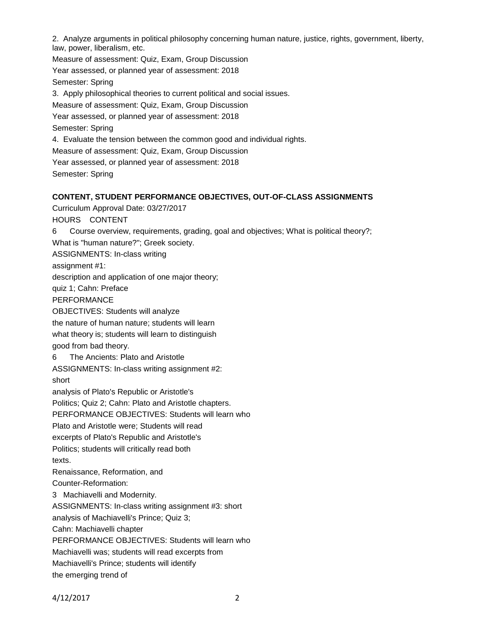2. Analyze arguments in political philosophy concerning human nature, justice, rights, government, liberty, law, power, liberalism, etc.

Measure of assessment: Quiz, Exam, Group Discussion Year assessed, or planned year of assessment: 2018 Semester: Spring 3. Apply philosophical theories to current political and social issues. Measure of assessment: Quiz, Exam, Group Discussion Year assessed, or planned year of assessment: 2018 Semester: Spring 4. Evaluate the tension between the common good and individual rights. Measure of assessment: Quiz, Exam, Group Discussion Year assessed, or planned year of assessment: 2018 Semester: Spring

## **CONTENT, STUDENT PERFORMANCE OBJECTIVES, OUT-OF-CLASS ASSIGNMENTS**

Curriculum Approval Date: 03/27/2017

HOURS CONTENT

6 Course overview, requirements, grading, goal and objectives; What is political theory?; What is "human nature?"; Greek society.

ASSIGNMENTS: In-class writing

assignment #1:

description and application of one major theory;

quiz 1; Cahn: Preface

PERFORMANCE

OBJECTIVES: Students will analyze

the nature of human nature; students will learn

what theory is; students will learn to distinguish

good from bad theory.

6 The Ancients: Plato and Aristotle

ASSIGNMENTS: In-class writing assignment #2: short

analysis of Plato's Republic or Aristotle's

Politics; Quiz 2; Cahn: Plato and Aristotle chapters.

PERFORMANCE OBJECTIVES: Students will learn who

Plato and Aristotle were; Students will read

excerpts of Plato's Republic and Aristotle's

Politics; students will critically read both texts.

Renaissance, Reformation, and Counter-Reformation:

3 Machiavelli and Modernity.

ASSIGNMENTS: In-class writing assignment #3: short

analysis of Machiavelli's Prince; Quiz 3;

Cahn: Machiavelli chapter

PERFORMANCE OBJECTIVES: Students will learn who

Machiavelli was; students will read excerpts from

Machiavelli's Prince; students will identify

the emerging trend of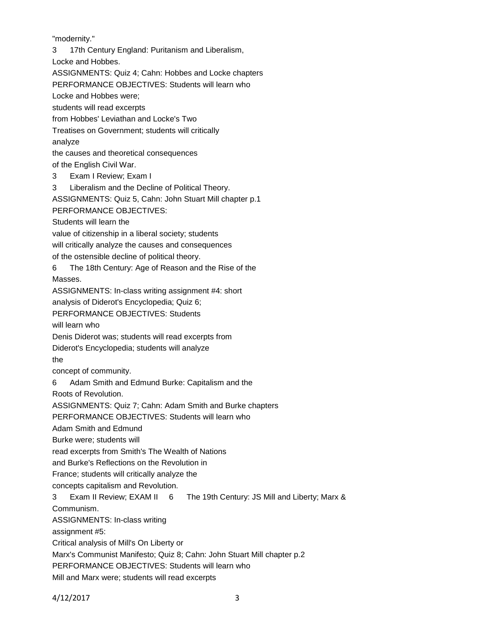"modernity."

3 17th Century England: Puritanism and Liberalism,

Locke and Hobbes.

ASSIGNMENTS: Quiz 4; Cahn: Hobbes and Locke chapters

PERFORMANCE OBJECTIVES: Students will learn who

Locke and Hobbes were;

students will read excerpts

from Hobbes' Leviathan and Locke's Two

Treatises on Government; students will critically analyze

the causes and theoretical consequences

of the English Civil War.

3 Exam I Review; Exam I

3 Liberalism and the Decline of Political Theory.

ASSIGNMENTS: Quiz 5, Cahn: John Stuart Mill chapter p.1

PERFORMANCE OBJECTIVES:

Students will learn the

value of citizenship in a liberal society; students

will critically analyze the causes and consequences

of the ostensible decline of political theory.

6 The 18th Century: Age of Reason and the Rise of the

Masses.

ASSIGNMENTS: In-class writing assignment #4: short

analysis of Diderot's Encyclopedia; Quiz 6;

PERFORMANCE OBJECTIVES: Students

will learn who

Denis Diderot was; students will read excerpts from

Diderot's Encyclopedia; students will analyze

the

concept of community.

6 Adam Smith and Edmund Burke: Capitalism and the

Roots of Revolution.

ASSIGNMENTS: Quiz 7; Cahn: Adam Smith and Burke chapters

PERFORMANCE OBJECTIVES: Students will learn who

Adam Smith and Edmund

Burke were; students will

read excerpts from Smith's The Wealth of Nations

and Burke's Reflections on the Revolution in

France; students will critically analyze the

concepts capitalism and Revolution.

3 Exam II Review; EXAM II 6 The 19th Century: JS Mill and Liberty; Marx &

Communism.

ASSIGNMENTS: In-class writing

assignment #5:

Critical analysis of Mill's On Liberty or

Marx's Communist Manifesto; Quiz 8; Cahn: John Stuart Mill chapter p.2

PERFORMANCE OBJECTIVES: Students will learn who

Mill and Marx were; students will read excerpts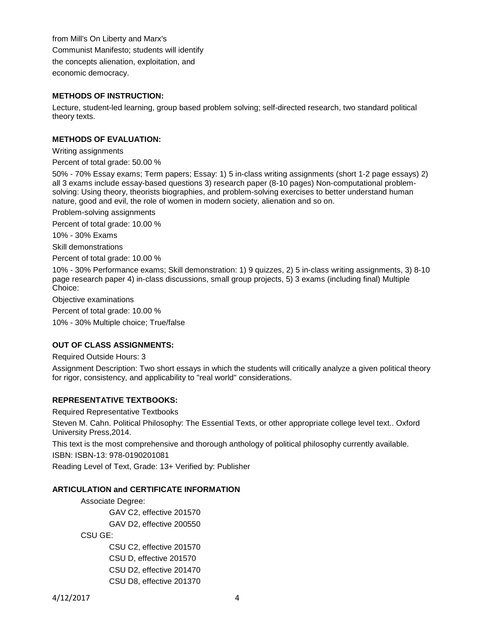from Mill's On Liberty and Marx's Communist Manifesto; students will identify the concepts alienation, exploitation, and economic democracy.

## **METHODS OF INSTRUCTION:**

Lecture, student-led learning, group based problem solving; self-directed research, two standard political theory texts.

## **METHODS OF EVALUATION:**

Writing assignments

Percent of total grade: 50.00 %

50% - 70% Essay exams; Term papers; Essay: 1) 5 in-class writing assignments (short 1-2 page essays) 2) all 3 exams include essay-based questions 3) research paper (8-10 pages) Non-computational problemsolving: Using theory, theorists biographies, and problem-solving exercises to better understand human nature, good and evil, the role of women in modern society, alienation and so on.

Problem-solving assignments

Percent of total grade: 10.00 %

10% - 30% Exams

Skill demonstrations

Percent of total grade: 10.00 %

10% - 30% Performance exams; Skill demonstration: 1) 9 quizzes, 2) 5 in-class writing assignments, 3) 8-10 page research paper 4) in-class discussions, small group projects, 5) 3 exams (including final) Multiple Choice:

Objective examinations

Percent of total grade: 10.00 %

10% - 30% Multiple choice; True/false

# **OUT OF CLASS ASSIGNMENTS:**

Required Outside Hours: 3

Assignment Description: Two short essays in which the students will critically analyze a given political theory for rigor, consistency, and applicability to "real world" considerations.

### **REPRESENTATIVE TEXTBOOKS:**

Required Representative Textbooks

Steven M. Cahn. Political Philosophy: The Essential Texts, or other appropriate college level text.. Oxford University Press,2014.

This text is the most comprehensive and thorough anthology of political philosophy currently available.

ISBN: ISBN-13: 978-0190201081

Reading Level of Text, Grade: 13+ Verified by: Publisher

### **ARTICULATION and CERTIFICATE INFORMATION**

Associate Degree: GAV C2, effective 201570 GAV D2, effective 200550 CSU GE: CSU C2, effective 201570 CSU D, effective 201570

CSU D2, effective 201470 CSU D8, effective 201370